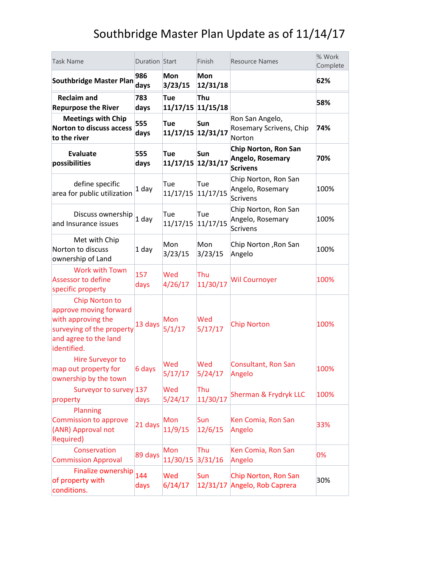| <b>Task Name</b>                                                                                                                    | Duration Start |                          | Finish          | <b>Resource Names</b>                                       | % Work<br>Complete |
|-------------------------------------------------------------------------------------------------------------------------------------|----------------|--------------------------|-----------------|-------------------------------------------------------------|--------------------|
| <b>Southbridge Master Plan</b>                                                                                                      | 986<br>days    | <b>Mon</b><br>3/23/15    | Mon<br>12/31/18 |                                                             | 62%                |
| <b>Reclaim and</b><br><b>Repurpose the River</b>                                                                                    | 783<br>days    | Tue<br>11/17/15 11/15/18 | Thu             |                                                             | 58%                |
| <b>Meetings with Chip</b><br><b>Norton to discuss access</b><br>to the river                                                        | 555<br>days    | Tue<br>11/17/15 12/31/17 | Sun             | Ron San Angelo,<br>Rosemary Scrivens, Chip<br>Norton        | 74%                |
| <b>Evaluate</b><br>possibilities                                                                                                    | 555<br>days    | Tue<br>11/17/15 12/31/17 | Sun             | Chip Norton, Ron San<br>Angelo, Rosemary<br><b>Scrivens</b> | 70%                |
| define specific<br>area for public utilization                                                                                      | 1 day          | Tue<br>11/17/15          | Tue<br>11/17/15 | Chip Norton, Ron San<br>Angelo, Rosemary<br><b>Scrivens</b> | 100%               |
| Discuss ownership<br>and Insurance issues                                                                                           | $1$ day        | Tue<br>11/17/15          | Tue<br>11/17/15 | Chip Norton, Ron San<br>Angelo, Rosemary<br><b>Scrivens</b> | 100%               |
| Met with Chip<br>Norton to discuss<br>ownership of Land                                                                             | 1 day          | Mon<br>3/23/15           | Mon<br>3/23/15  | Chip Norton, Ron San<br>Angelo                              | 100%               |
| <b>Work with Town</b><br>Assessor to define<br>specific property                                                                    | 157<br>days    | Wed<br>4/26/17           | Thu<br>11/30/17 | <b>Wil Cournoyer</b>                                        | 100%               |
| Chip Norton to<br>approve moving forward<br>with approving the<br>surveying of the property<br>and agree to the land<br>identified. | 13 days        | Mon<br>5/1/17            | Wed<br>5/17/17  | <b>Chip Norton</b>                                          | 100%               |
| Hire Surveyor to<br>map out property for<br>ownership by the town                                                                   | 6 days         | Wed<br>5/17/17           | Wed<br>5/24/17  | Consultant, Ron San<br>Angelo                               | 100%               |
| Surveyor to survey 137<br>property<br>Planning                                                                                      | days           | Wed<br>5/24/17           | Thu<br>11/30/17 | <b>Sherman &amp; Frydryk LLC</b>                            | 100%               |
| Commission to approve<br>(ANR) Approval not<br><b>Required)</b>                                                                     | 21 days        | Mon<br>11/9/15           | Sun<br>12/6/15  | Ken Comia, Ron San<br>Angelo                                | 33%                |
| Conservation<br><b>Commission Approval</b>                                                                                          | 89 days        | Mon<br>11/30/15          | Thu<br>3/31/16  | Ken Comia, Ron San<br>Angelo                                | 0%                 |
| Finalize ownership<br>of property with<br>conditions.                                                                               | 144<br>days    | Wed<br>6/14/17           | Sun<br>12/31/17 | Chip Norton, Ron San<br>Angelo, Rob Caprera                 | 30%                |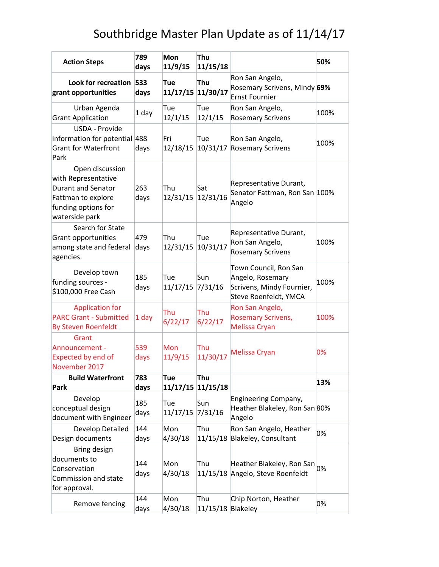| <b>Action Steps</b>                                                                                                         | 789<br>days | <b>Mon</b><br>11/9/15    | Thu<br>11/15/18          |                                                                                                 | 50%  |
|-----------------------------------------------------------------------------------------------------------------------------|-------------|--------------------------|--------------------------|-------------------------------------------------------------------------------------------------|------|
| Look for recreation<br>grant opportunities                                                                                  | 533<br>days | Tue<br>11/17/15 11/30/17 | Thu                      | Ron San Angelo,<br>Rosemary Scrivens, Mindy 69%<br><b>Ernst Fournier</b>                        |      |
| Urban Agenda<br><b>Grant Application</b>                                                                                    | 1 day       | Tue<br>12/1/15           | Tue<br>12/1/15           | Ron San Angelo,<br><b>Rosemary Scrivens</b>                                                     | 100% |
| USDA - Provide<br>information for potential 488<br><b>Grant for Waterfront</b><br>Park                                      | days        | Fri<br>12/18/15          | Tue<br>10/31/17          | Ron San Angelo,<br><b>Rosemary Scrivens</b>                                                     | 100% |
| Open discussion<br>with Representative<br>Durant and Senator<br>Fattman to explore<br>funding options for<br>waterside park | 263<br>days | Thu<br>12/31/15          | Sat<br>12/31/16          | Representative Durant,<br>Senator Fattman, Ron San 100%<br>Angelo                               |      |
| Search for State<br>Grant opportunities<br>among state and federal<br>agencies.                                             | 479<br>days | Thu<br>12/31/15          | Tue<br>10/31/17          | Representative Durant,<br>Ron San Angelo,<br><b>Rosemary Scrivens</b>                           | 100% |
| Develop town<br>funding sources -<br>\$100,000 Free Cash                                                                    | 185<br>days | Tue<br>11/17/15          | Sun<br>7/31/16           | Town Council, Ron San<br>Angelo, Rosemary<br>Scrivens, Mindy Fournier,<br>Steve Roenfeldt, YMCA | 100% |
| <b>Application for</b><br><b>PARC Grant - Submitted</b><br><b>By Steven Roenfeldt</b>                                       | 1 day       | Thu<br>6/22/17           | Thu<br>6/22/17           | Ron San Angelo,<br><b>Rosemary Scrivens,</b><br>Melissa Cryan                                   | 100% |
| Grant<br>Announcement -<br><b>Expected by end of</b><br>November 2017                                                       | 539<br>days | <b>Mon</b><br>11/9/15    | Thu<br>11/30/17          | Melissa Cryan                                                                                   | 0%   |
| <b>Build Waterfront</b><br>Park                                                                                             | 783<br>days | Tue                      | Thu<br>11/17/15 11/15/18 |                                                                                                 | 13%  |
| Develop<br>conceptual design<br>document with Engineer                                                                      | 185<br>days | Tue<br>11/17/15          | Sun<br>7/31/16           | Engineering Company,<br>Heather Blakeley, Ron San 80%<br>Angelo                                 |      |
| Develop Detailed<br>Design documents                                                                                        | 144<br>days | Mon<br>4/30/18           | Thu                      | Ron San Angelo, Heather<br>11/15/18 Blakeley, Consultant                                        | 0%   |
| Bring design<br>documents to<br>Conservation<br>Commission and state<br>for approval.                                       | 144<br>days | Mon<br>4/30/18           | Thu                      | Heather Blakeley, Ron San 0%<br>11/15/18 Angelo, Steve Roenfeldt                                |      |
| Remove fencing                                                                                                              | 144<br>days | Mon<br>4/30/18           | Thu<br>11/15/18 Blakeley | Chip Norton, Heather                                                                            | 0%   |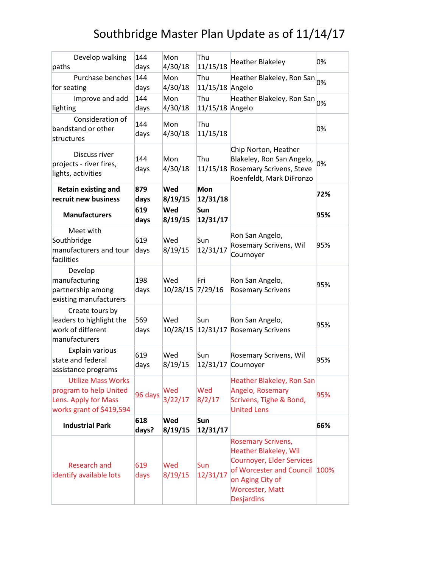| Develop walking<br>paths                                                                                | 144<br>days  | Mon<br>4/30/18  | Thu<br>11/15/18        | <b>Heather Blakeley</b>                                                                                                                                                                      | 0%   |
|---------------------------------------------------------------------------------------------------------|--------------|-----------------|------------------------|----------------------------------------------------------------------------------------------------------------------------------------------------------------------------------------------|------|
| Purchase benches<br>for seating                                                                         | 144<br>days  | Mon<br>4/30/18  | Thu<br>11/15/18 Angelo | Heather Blakeley, Ron San                                                                                                                                                                    | 0%   |
| Improve and add<br>lighting                                                                             | 144<br>days  | Mon<br>4/30/18  | Thu<br>11/15/18 Angelo | Heather Blakeley, Ron San                                                                                                                                                                    | 0%   |
| Consideration of<br>bandstand or other<br>structures                                                    | 144<br>days  | Mon<br>4/30/18  | Thu<br>11/15/18        |                                                                                                                                                                                              | 0%   |
| Discuss river<br>projects - river fires,<br>lights, activities                                          | 144<br>days  | Mon<br>4/30/18  | Thu                    | Chip Norton, Heather<br>Blakeley, Ron San Angelo,<br>11/15/18 Rosemary Scrivens, Steve<br>Roenfeldt, Mark DiFronzo                                                                           | 0%   |
| <b>Retain existing and</b><br>recruit new business                                                      | 879<br>days  | Wed<br>8/19/15  | <b>Mon</b><br>12/31/18 |                                                                                                                                                                                              | 72%  |
| <b>Manufacturers</b>                                                                                    | 619<br>days  | Wed<br>8/19/15  | Sun<br>12/31/17        |                                                                                                                                                                                              | 95%  |
| Meet with<br>Southbridge<br>manufacturers and tour<br>facilities                                        | 619<br>days  | Wed<br>8/19/15  | Sun<br>12/31/17        | Ron San Angelo,<br>Rosemary Scrivens, Wil<br>Cournoyer                                                                                                                                       | 95%  |
| Develop<br>manufacturing<br>partnership among<br>existing manufacturers                                 | 198<br>days  | Wed<br>10/28/15 | Fri<br>7/29/16         | Ron San Angelo,<br><b>Rosemary Scrivens</b>                                                                                                                                                  | 95%  |
| Create tours by<br>leaders to highlight the<br>work of different<br>manufacturers                       | 569<br>days  | Wed<br>10/28/15 | Sun                    | Ron San Angelo,<br>12/31/17 Rosemary Scrivens                                                                                                                                                | 95%  |
| Explain various<br>state and federal<br>assistance programs                                             | 619<br>days  | Wed<br>8/19/15  | Sun<br>12/31/17        | Rosemary Scrivens, Wil<br>Cournoyer                                                                                                                                                          | 95%  |
| <b>Utilize Mass Works</b><br>program to help United<br>Lens. Apply for Mass<br>works grant of \$419,594 | 96 days      | Wed<br>3/22/17  | Wed<br>8/2/17          | Heather Blakeley, Ron San<br>Angelo, Rosemary<br>Scrivens, Tighe & Bond,<br><b>United Lens</b>                                                                                               | 95%  |
| <b>Industrial Park</b>                                                                                  | 618<br>days? | Wed<br>8/19/15  | Sun<br>12/31/17        |                                                                                                                                                                                              | 66%  |
| <b>Research and</b><br>identify available lots                                                          | 619<br>days  | Wed<br>8/19/15  | Sun<br>12/31/17        | <b>Rosemary Scrivens,</b><br><b>Heather Blakeley, Wil</b><br><b>Cournoyer, Elder Services</b><br>of Worcester and Council<br>on Aging City of<br><b>Worcester, Matt</b><br><b>Desjardins</b> | 100% |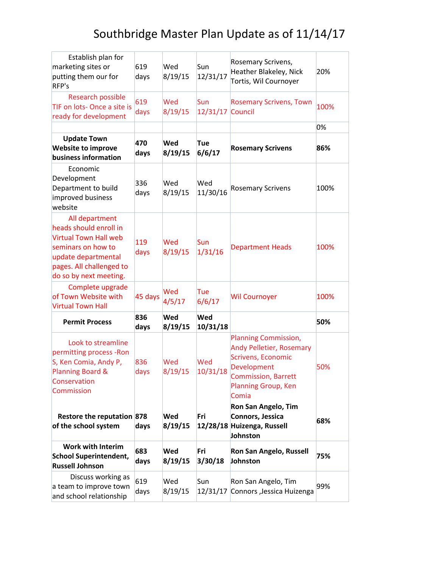| Establish plan for<br>marketing sites or<br>putting them our for<br>RFP's                                                                                                   | 619<br>days | Wed<br>8/19/15 | Sun<br>12/31/17        | Rosemary Scrivens,<br>Heather Blakeley, Nick<br>Tortis, Wil Cournoyer                                                                                      | 20%  |
|-----------------------------------------------------------------------------------------------------------------------------------------------------------------------------|-------------|----------------|------------------------|------------------------------------------------------------------------------------------------------------------------------------------------------------|------|
| Research possible<br>TIF on lots- Once a site is<br>ready for development                                                                                                   | 619<br>days | Wed<br>8/19/15 | Sun<br>12/31/17        | <b>Rosemary Scrivens, Town</b><br>Council                                                                                                                  | 100% |
|                                                                                                                                                                             |             |                |                        |                                                                                                                                                            | 0%   |
| <b>Update Town</b><br><b>Website to improve</b><br>business information                                                                                                     | 470<br>days | Wed<br>8/19/15 | Tue<br>6/6/17          | <b>Rosemary Scrivens</b>                                                                                                                                   | 86%  |
| Economic<br>Development<br>Department to build<br>improved business<br>website                                                                                              | 336<br>days | Wed<br>8/19/15 | Wed<br>11/30/16        | <b>Rosemary Scrivens</b>                                                                                                                                   | 100% |
| All department<br>heads should enroll in<br><b>Virtual Town Hall web</b><br>seminars on how to<br>update departmental<br>pages. All challenged to<br>do so by next meeting. | 119<br>days | Wed<br>8/19/15 | Sun<br>1/31/16         | <b>Department Heads</b>                                                                                                                                    | 100% |
| Complete upgrade<br>of Town Website with<br><b>Virtual Town Hall</b>                                                                                                        | 45 days     | Wed<br>4/5/17  | Tue<br>6/6/17          | <b>Wil Cournoyer</b>                                                                                                                                       | 100% |
| <b>Permit Process</b>                                                                                                                                                       | 836<br>days | Wed<br>8/19/15 | <b>Wed</b><br>10/31/18 |                                                                                                                                                            | 50%  |
| Look to streamline<br>permitting process - Ron<br>S, Ken Comia, Andy P,<br>Planning Board &<br>Conservation<br>Commission                                                   | 836<br>days | Wed<br>8/19/15 | Wed<br>10/31/18        | Planning Commission,<br><b>Andy Pelletier, Rosemary</b><br>Scrivens, Economic<br>Development<br><b>Commission, Barrett</b><br>Planning Group, Ken<br>Comia | 50%  |
| Restore the reputation 878<br>of the school system                                                                                                                          | days        | Wed<br>8/19/15 | Fri                    | Ron San Angelo, Tim<br>Connors, Jessica<br>12/28/18 Huizenga, Russell<br>Johnston                                                                          | 68%  |
| <b>Work with Interim</b><br><b>School Superintendent,</b><br><b>Russell Johnson</b>                                                                                         | 683<br>days | Wed<br>8/19/15 | Fri<br>3/30/18         | Ron San Angelo, Russell<br>Johnston                                                                                                                        | 75%  |
| Discuss working as<br>a team to improve town<br>and school relationship                                                                                                     | 619<br>days | Wed<br>8/19/15 | Sun<br>12/31/17        | Ron San Angelo, Tim<br>Connors , Jessica Huizenga                                                                                                          | 99%  |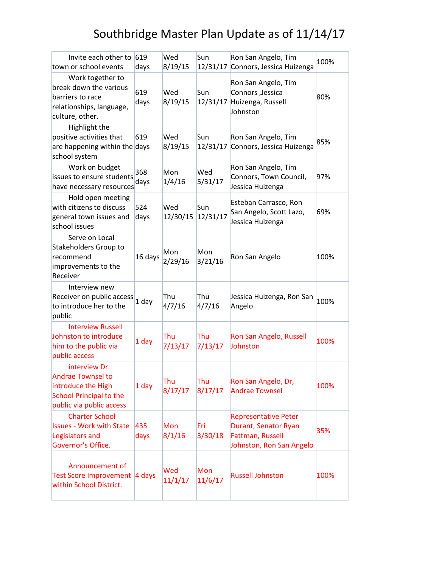| Invite each other to<br>town or school events                                                                                 | 619<br>days | Wed<br>8/19/15  | Sun<br>12/31/17 | Ron San Angelo, Tim<br>Connors, Jessica Huizenga                                                    | 100% |
|-------------------------------------------------------------------------------------------------------------------------------|-------------|-----------------|-----------------|-----------------------------------------------------------------------------------------------------|------|
| Work together to<br>break down the various<br>barriers to race<br>relationships, language,<br>culture, other.                 | 619<br>days | Wed<br>8/19/15  | Sun             | Ron San Angelo, Tim<br>Connors , Jessica<br>12/31/17 Huizenga, Russell<br>Johnston                  | 80%  |
| Highlight the<br>positive activities that<br>are happening within the days<br>school system                                   | 619         | Wed<br>8/19/15  | Sun<br>12/31/17 | Ron San Angelo, Tim<br>Connors, Jessica Huizenga                                                    | 85%  |
| Work on budget<br>issues to ensure students<br>have necessary resources                                                       | 368<br>days | Mon<br>1/4/16   | Wed<br>5/31/17  | Ron San Angelo, Tim<br>Connors, Town Council,<br>Jessica Huizenga                                   | 97%  |
| Hold open meeting<br>with citizens to discuss<br>general town issues and<br>school issues                                     | 524<br>days | Wed<br>12/30/15 | Sun<br>12/31/17 | Esteban Carrasco, Ron<br>San Angelo, Scott Lazo,<br>Jessica Huizenga                                | 69%  |
| Serve on Local<br>Stakeholders Group to<br>recommend<br>improvements to the<br>Receiver                                       | 16 days     | Mon<br>2/29/16  | Mon<br>3/21/16  | Ron San Angelo                                                                                      | 100% |
| Interview new<br>Receiver on public access<br>to introduce her to the<br>public                                               | $1$ day     | Thu<br>4/7/16   | Thu<br>4/7/16   | Jessica Huizenga, Ron San<br>Angelo                                                                 | 100% |
| <b>Interview Russell</b><br>Johnston to introduce<br>him to the public via<br>public access                                   | 1 day       | Thu<br>7/13/17  | Thu<br>7/13/17  | Ron San Angelo, Russell<br>Johnston                                                                 | 100% |
| interview Dr.<br><b>Andrae Townsel to</b><br>introduce the High<br><b>School Principal to the</b><br>public via public access | 1 day       | Thu<br>8/17/17  | Thu<br>8/17/17  | Ron San Angelo, Dr,<br><b>Andrae Townsel</b>                                                        | 100% |
| <b>Charter School</b><br><b>Issues - Work with State</b><br>Legislators and<br>Governor's Office.                             | 435<br>days | Mon<br>8/1/16   | Fri<br>3/30/18  | <b>Representative Peter</b><br>Durant, Senator Ryan<br>Fattman, Russell<br>Johnston, Ron San Angelo | 35%  |
| Announcement of<br>Test Score Improvement 4 days<br>within School District.                                                   |             | Wed<br>11/1/17  | Mon<br>11/6/17  | <b>Russell Johnston</b>                                                                             | 100% |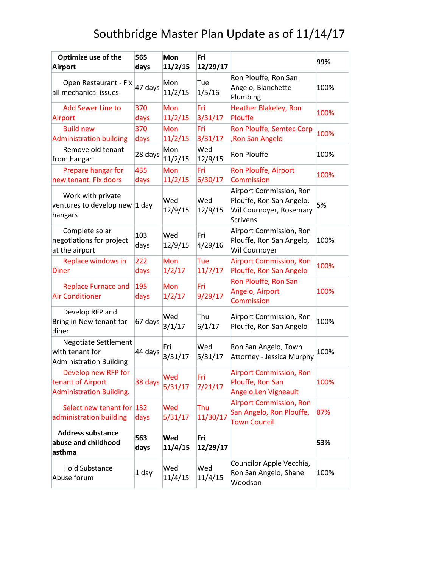| Optimize use of the<br>Airport                                              | 565<br>days | <b>Mon</b><br>11/2/15 | Fri<br>12/29/17 |                                                                                                   | 99%  |
|-----------------------------------------------------------------------------|-------------|-----------------------|-----------------|---------------------------------------------------------------------------------------------------|------|
| Open Restaurant - Fix<br>all mechanical issues                              | 47 days     | Mon<br>11/2/15        | Tue<br>1/5/16   | Ron Plouffe, Ron San<br>Angelo, Blanchette<br>Plumbing                                            | 100% |
| <b>Add Sewer Line to</b><br>Airport                                         | 370<br>days | Mon<br>11/2/15        | Fri<br>3/31/17  | <b>Heather Blakeley, Ron</b><br>Plouffe                                                           | 100% |
| <b>Build new</b><br><b>Administration building</b>                          | 370<br>days | Mon<br>11/2/15        | Fri<br>3/31/17  | Ron Plouffe, Semtec Corp<br><b>Ron San Angelo</b>                                                 | 100% |
| Remove old tenant<br>from hangar                                            | 28 days     | Mon<br>11/2/15        | Wed<br>12/9/15  | Ron Plouffe                                                                                       | 100% |
| Prepare hangar for<br>new tenant. Fix doors                                 | 435<br>days | Mon<br>11/2/15        | Fri<br>6/30/17  | Ron Plouffe, Airport<br><b>Commission</b>                                                         | 100% |
| Work with private<br>ventures to develop new 1 day<br>hangars               |             | Wed<br>12/9/15        | Wed<br>12/9/15  | Airport Commission, Ron<br>Plouffe, Ron San Angelo,<br>Wil Cournoyer, Rosemary<br><b>Scrivens</b> | 5%   |
| Complete solar<br>negotiations for project<br>at the airport                | 103<br>days | Wed<br>12/9/15        | Fri<br>4/29/16  | Airport Commission, Ron<br>Plouffe, Ron San Angelo,<br>Wil Cournoyer                              | 100% |
| Replace windows in<br>Diner                                                 | 222<br>days | Mon<br>1/2/17         | Tue<br>11/7/17  | <b>Airport Commission, Ron</b><br>Plouffe, Ron San Angelo                                         | 100% |
| <b>Replace Furnace and</b><br><b>Air Conditioner</b>                        | 195<br>days | Mon<br>1/2/17         | Fri<br>9/29/17  | Ron Plouffe, Ron San<br>Angelo, Airport<br><b>Commission</b>                                      | 100% |
| Develop RFP and<br>Bring in New tenant for<br>diner                         | 67 days     | Wed<br>3/1/17         | Thu<br>6/1/17   | Airport Commission, Ron<br>Plouffe, Ron San Angelo                                                | 100% |
| <b>Negotiate Settlement</b><br>with tenant for<br>Administration Building   | 44 days     | Fri<br>3/31/17        | Wed<br>5/31/17  | Ron San Angelo, Town<br>Attorney - Jessica Murphy                                                 | 100% |
| Develop new RFP for<br>tenant of Airport<br><b>Administration Building.</b> | 38 days     | Wed<br>5/31/17        | Fri<br>7/21/17  | <b>Airport Commission, Ron</b><br>Plouffe, Ron San<br>Angelo, Len Vigneault                       | 100% |
| Select new tenant for 132<br>administration building                        | days        | Wed<br>5/31/17        | Thu<br>11/30/17 | <b>Airport Commission, Ron</b><br>San Angelo, Ron Plouffe,<br><b>Town Council</b>                 | 87%  |
| <b>Address substance</b><br>abuse and childhood<br>asthma                   | 563<br>days | <b>Wed</b><br>11/4/15 | Fri<br>12/29/17 |                                                                                                   | 53%  |
| <b>Hold Substance</b><br>Abuse forum                                        | 1 day       | Wed<br>11/4/15        | Wed<br>11/4/15  | Councilor Apple Vecchia,<br>Ron San Angelo, Shane<br>Woodson                                      | 100% |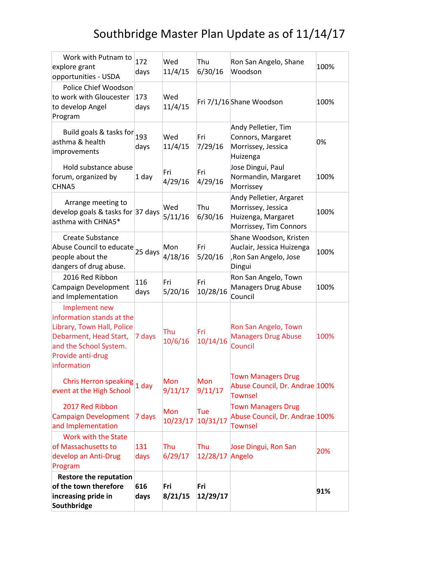| Work with Putnam to<br>explore grant<br>opportunities - USDA                                                                                                     | 172<br>days | Wed<br>11/4/15  | Thu<br>6/30/16  | Ron San Angelo, Shane<br>Woodson                                                              | 100% |
|------------------------------------------------------------------------------------------------------------------------------------------------------------------|-------------|-----------------|-----------------|-----------------------------------------------------------------------------------------------|------|
| Police Chief Woodson<br>to work with Gloucester<br>to develop Angel<br>Program                                                                                   | 173<br>days | Wed<br>11/4/15  |                 | Fri 7/1/16 Shane Woodson                                                                      | 100% |
| Build goals & tasks for 193<br>asthma & health<br>improvements                                                                                                   | days        | Wed<br>11/4/15  | Fri<br>7/29/16  | Andy Pelletier, Tim<br>Connors, Margaret<br>Morrissey, Jessica<br>Huizenga                    | 0%   |
| Hold substance abuse<br>forum, organized by<br>CHNA5                                                                                                             | 1 day       | Fri<br>4/29/16  | Fri<br>4/29/16  | Jose Dingui, Paul<br>Normandin, Margaret<br>Morrissey                                         | 100% |
| Arrange meeting to<br>develop goals & tasks for $ 37 \text{ days} $<br>asthma with CHNA5*                                                                        |             | Wed<br>5/11/16  | Thu<br>6/30/16  | Andy Pelletier, Argaret<br>Morrissey, Jessica<br>Huizenga, Margaret<br>Morrissey, Tim Connors | 100% |
| Create Substance<br>Abuse Council to educate<br>people about the<br>dangers of drug abuse.                                                                       | 25 days     | Mon<br>4/18/16  | Fri<br>5/20/16  | Shane Woodson, Kristen<br>Auclair, Jessica Huizenga<br>, Ron San Angelo, Jose<br>Dingui       | 100% |
| 2016 Red Ribbon<br>Campaign Development<br>and Implementation                                                                                                    | 116<br>days | Fri<br>5/20/16  | Fri<br>10/28/16 | Ron San Angelo, Town<br>Managers Drug Abuse<br>Council                                        | 100% |
| Implement new<br>information stands at the<br>Library, Town Hall, Police<br>Debarment, Head Start,<br>and the School System.<br>Provide anti-drug<br>information | 7 days      | Thu<br>10/6/16  | Fri<br>10/14/16 | Ron San Angelo, Town<br><b>Managers Drug Abuse</b><br>Council                                 | 100% |
| Chris Herron speaking<br>event at the High School                                                                                                                | $1$ day     | Mon<br>9/11/17  | Mon<br>9/11/17  | <b>Town Managers Drug</b><br>Abuse Council, Dr. Andrae 100%<br><b>Townsel</b>                 |      |
| 2017 Red Ribbon<br><b>Campaign Development</b><br>and Implementation                                                                                             | 7 days      | Mon<br>10/23/17 | Tue<br>10/31/17 | <b>Town Managers Drug</b><br>Abuse Council, Dr. Andrae 100%<br><b>Townsel</b>                 |      |
| Work with the State<br>of Massachusetts to<br>develop an Anti-Drug<br>Program                                                                                    | 131<br>days | Thu<br>6/29/17  | Thu<br>12/28/17 | Jose Dingui, Ron San<br>Angelo                                                                | 20%  |
| <b>Restore the reputation</b><br>of the town therefore<br>increasing pride in<br>Southbridge                                                                     | 616<br>days | Fri<br>8/21/15  | Fri<br>12/29/17 |                                                                                               | 91%  |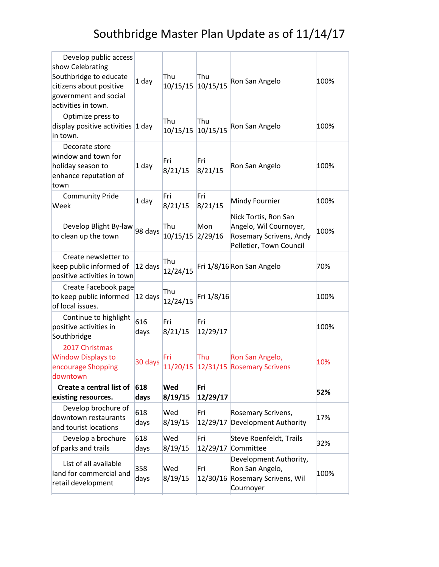| Develop public access<br>show Celebrating<br>Southbridge to educate<br>citizens about positive<br>government and social<br>activities in town. | 1 day       | Thu<br>10/15/15          | Thu<br>10/15/15  | Ron San Angelo                                                                                       | 100% |
|------------------------------------------------------------------------------------------------------------------------------------------------|-------------|--------------------------|------------------|------------------------------------------------------------------------------------------------------|------|
| Optimize press to<br>display positive activities $ 1$ day<br>in town.                                                                          |             | Thu<br>10/15/15 10/15/15 | Thu              | Ron San Angelo                                                                                       | 100% |
| Decorate store<br>window and town for<br>holiday season to<br>enhance reputation of<br>town                                                    | 1 day       | Fri<br>8/21/15           | Fri<br>8/21/15   | Ron San Angelo                                                                                       | 100% |
| <b>Community Pride</b><br>Week                                                                                                                 | 1 day       | Fri<br>8/21/15           | Fri<br>8/21/15   | Mindy Fournier                                                                                       | 100% |
| Develop Blight By-law<br>to clean up the town                                                                                                  | 98 days     | Thu<br>10/15/15 2/29/16  | Mon              | Nick Tortis, Ron San<br>Angelo, Wil Cournoyer,<br>Rosemary Scrivens, Andy<br>Pelletier, Town Council | 100% |
| Create newsletter to<br>keep public informed of<br>positive activities in town                                                                 | 12 days     | Thu<br>12/24/15          |                  | Fri 1/8/16 Ron San Angelo                                                                            | 70%  |
| Create Facebook page<br>to keep public informed<br>of local issues.                                                                            | 12 days     | Thu<br>12/24/15          | Fri 1/8/16       |                                                                                                      | 100% |
| Continue to highlight<br>positive activities in<br>Southbridge                                                                                 | 616<br>days | Fri<br>8/21/15           | lFri<br>12/29/17 |                                                                                                      | 100% |
| 2017 Christmas<br><b>Window Displays to</b><br>encourage Shopping<br>downtown                                                                  | 30 days     | Fri                      | Thu              | Ron San Angelo,<br>11/20/15 12/31/15 Rosemary Scrivens                                               | 10%  |
| Create a central list of<br>existing resources.                                                                                                | 618<br>days | <b>Wed</b><br>8/19/15    | Fri<br>12/29/17  |                                                                                                      | 52%  |
| Develop brochure of<br>downtown restaurants<br>and tourist locations                                                                           | 618<br>days | Wed<br>8/19/15           | Fri<br>12/29/17  | Rosemary Scrivens,<br>Development Authority                                                          | 17%  |
| Develop a brochure<br>of parks and trails                                                                                                      | 618<br>days | Wed<br>8/19/15           | Fri<br>12/29/17  | Steve Roenfeldt, Trails<br>Committee                                                                 | 32%  |
| List of all available<br>land for commercial and<br>retail development                                                                         | 358<br>days | Wed<br>8/19/15           | Fri<br>12/30/16  | Development Authority,<br>Ron San Angelo,<br><b>Rosemary Scrivens, Wil</b><br>Cournoyer              | 100% |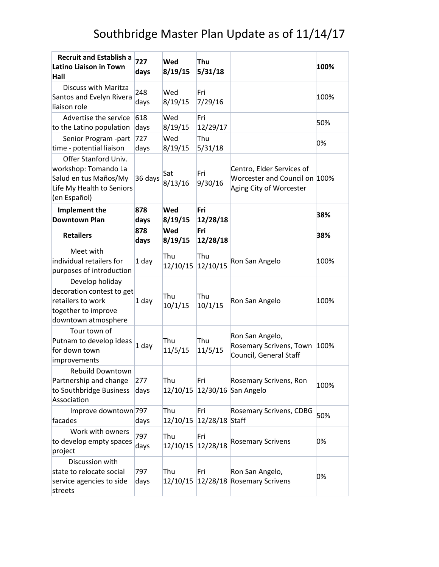| <b>Recruit and Establish a</b><br>Latino Liaison in Town<br><b>Hall</b>                                            | 727<br>days | <b>Wed</b><br>8/19/15    | Thu<br>5/31/18                 |                                                                                       | 100% |
|--------------------------------------------------------------------------------------------------------------------|-------------|--------------------------|--------------------------------|---------------------------------------------------------------------------------------|------|
| Discuss with Maritza<br>Santos and Evelyn Rivera<br>liaison role                                                   | 248<br>days | Wed<br>8/19/15           | Fri<br>7/29/16                 |                                                                                       | 100% |
| Advertise the service<br>to the Latino population                                                                  | 618<br>days | Wed<br>8/19/15           | Fri<br>12/29/17                |                                                                                       | 50%  |
| Senior Program -part<br>time - potential liaison                                                                   | 727<br>days | Wed<br>8/19/15           | Thu<br>5/31/18                 |                                                                                       | 0%   |
| Offer Stanford Univ.<br>workshop: Tomando La<br>Salud en tus Maños/My<br>Life My Health to Seniors<br>(en Español) | 36 days     | Sat<br>8/13/16           | Fri<br>9/30/16                 | Centro, Elder Services of<br>Worcester and Council on 100%<br>Aging City of Worcester |      |
| Implement the<br><b>Downtown Plan</b>                                                                              | 878<br>days | <b>Wed</b><br>8/19/15    | Fri<br>12/28/18                |                                                                                       | 38%  |
| <b>Retailers</b>                                                                                                   | 878<br>days | <b>Wed</b><br>8/19/15    | Fri<br>12/28/18                |                                                                                       | 38%  |
| Meet with<br>individual retailers for<br>purposes of introduction                                                  | 1 day       | Thu<br>12/10/15          | Thu<br>12/10/15                | Ron San Angelo                                                                        | 100% |
| Develop holiday<br>decoration contest to get<br>retailers to work<br>together to improve<br>downtown atmosphere    | $1$ day     | Thu<br>10/1/15           | Thu<br>10/1/15                 | Ron San Angelo                                                                        | 100% |
| Tour town of<br>Putnam to develop ideas<br>for down town<br>improvements                                           | 1 day       | Thu<br>11/5/15           | Thu<br>11/5/15                 | Ron San Angelo,<br>Rosemary Scrivens, Town 100%<br>Council, General Staff             |      |
| <b>Rebuild Downtown</b><br>Partnership and change<br>to Southbridge Business<br>Association                        | 277<br>days | Thu                      | Fri                            | Rosemary Scrivens, Ron<br>12/10/15 12/30/16 San Angelo                                | 100% |
| Improve downtown 797<br>facades                                                                                    | days        | Thu                      | Fri<br>12/10/15 12/28/18 Staff | <b>Rosemary Scrivens, CDBG</b>                                                        | 50%  |
| Work with owners<br>to develop empty spaces<br>project                                                             | 797<br>days | Thu<br>12/10/15 12/28/18 | Fri                            | <b>Rosemary Scrivens</b>                                                              | 0%   |
| Discussion with<br>state to relocate social<br>service agencies to side<br>streets                                 | 797<br>days | Thu                      | Fri                            | Ron San Angelo,<br>12/10/15 12/28/18 Rosemary Scrivens                                | 0%   |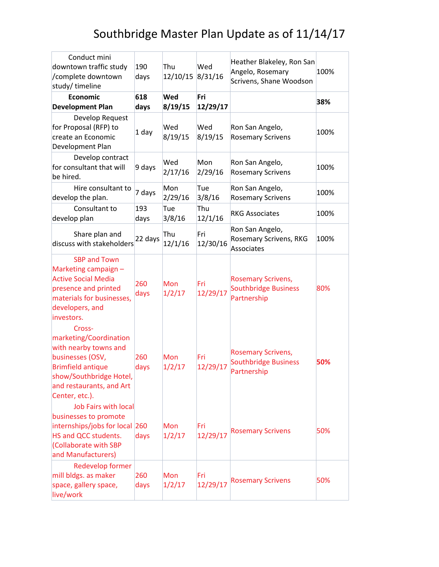| Conduct mini<br>downtown traffic study<br>/complete downtown<br>study/timeline                                                                                                     | 190<br>days | Thu<br>12/10/15       | Wed<br>8/31/16  | Heather Blakeley, Ron San<br>Angelo, Rosemary<br>Scrivens, Shane Woodson | 100% |
|------------------------------------------------------------------------------------------------------------------------------------------------------------------------------------|-------------|-----------------------|-----------------|--------------------------------------------------------------------------|------|
| <b>Economic</b><br><b>Development Plan</b>                                                                                                                                         | 618<br>days | <b>Wed</b><br>8/19/15 | Fri<br>12/29/17 |                                                                          | 38%  |
| Develop Request<br>for Proposal (RFP) to<br>create an Economic<br>Development Plan                                                                                                 | 1 day       | Wed<br>8/19/15        | Wed<br>8/19/15  | Ron San Angelo,<br><b>Rosemary Scrivens</b>                              | 100% |
| Develop contract<br>for consultant that will<br>be hired.                                                                                                                          | 9 days      | Wed<br>2/17/16        | Mon<br>2/29/16  | Ron San Angelo,<br><b>Rosemary Scrivens</b>                              | 100% |
| Hire consultant to<br>develop the plan.                                                                                                                                            | 7 days      | Mon<br>2/29/16        | Tue<br>3/8/16   | Ron San Angelo,<br><b>Rosemary Scrivens</b>                              | 100% |
| Consultant to<br>develop plan                                                                                                                                                      | 193<br>days | Tue<br>3/8/16         | Thu<br>12/1/16  | <b>RKG Associates</b>                                                    | 100% |
| Share plan and<br>discuss with stakeholders                                                                                                                                        | 22 days     | Thu<br>12/1/16        | Fri<br>12/30/16 | Ron San Angelo,<br>Rosemary Scrivens, RKG<br>Associates                  | 100% |
| <b>SBP and Town</b><br>Marketing campaign -<br><b>Active Social Media</b><br>presence and printed<br>materials for businesses,<br>developers, and<br>investors.                    | 260<br>days | Mon<br>1/2/17         | Fri<br>12/29/17 | <b>Rosemary Scrivens,</b><br><b>Southbridge Business</b><br>Partnership  | 80%  |
| Cross-<br>marketing/Coordination<br>with nearby towns and<br>businesses (OSV,<br><b>Brimfield antique</b><br>show/Southbridge Hotel,<br>and restaurants, and Art<br>Center, etc.). | 260<br>days | Mon<br>1/2/17         | Fri<br>12/29/17 | <b>Rosemary Scrivens,</b><br><b>Southbridge Business</b><br>Partnership  | 50%  |
| <b>Job Fairs with local</b><br>businesses to promote<br>internships/jobs for local 260<br>HS and QCC students.<br>(Collaborate with SBP<br>and Manufacturers)                      | days        | Mon<br>1/2/17         | Fri<br>12/29/17 | <b>Rosemary Scrivens</b>                                                 | 50%  |
| <b>Redevelop former</b><br>mill bldgs. as maker<br>space, gallery space,<br>live/work                                                                                              | 260<br>days | Mon<br>1/2/17         | Fri<br>12/29/17 | <b>Rosemary Scrivens</b>                                                 | 50%  |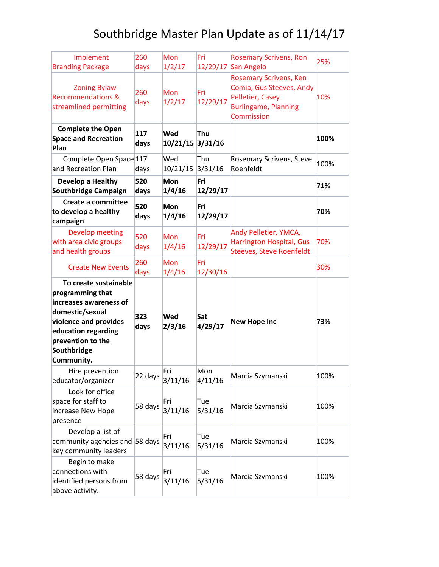| Implement<br><b>Branding Package</b>                                                                                                                                                     | 260<br>days | Mon<br>1/2/17        | Fri<br>12/29/17 | <b>Rosemary Scrivens, Ron</b><br>San Angelo                                                                                | 25%  |
|------------------------------------------------------------------------------------------------------------------------------------------------------------------------------------------|-------------|----------------------|-----------------|----------------------------------------------------------------------------------------------------------------------------|------|
| <b>Zoning Bylaw</b><br><b>Recommendations &amp;</b><br>streamlined permitting                                                                                                            | 260<br>days | Mon<br>1/2/17        | Fri<br>12/29/17 | <b>Rosemary Scrivens, Ken</b><br>Comia, Gus Steeves, Andy<br>Pelletier, Casey<br><b>Burlingame, Planning</b><br>Commission | 10%  |
| <b>Complete the Open</b><br><b>Space and Recreation</b><br>Plan                                                                                                                          | 117<br>days | Wed<br>10/21/15      | Thu<br>3/31/16  |                                                                                                                            | 100% |
| Complete Open Space 117<br>and Recreation Plan                                                                                                                                           | days        | Wed<br>10/21/15      | Thu<br>3/31/16  | Rosemary Scrivens, Steve<br>Roenfeldt                                                                                      | 100% |
| Develop a Healthy<br><b>Southbridge Campaign</b>                                                                                                                                         | 520<br>days | <b>Mon</b><br>1/4/16 | Fri<br>12/29/17 |                                                                                                                            | 71%  |
| Create a committee<br>to develop a healthy<br>campaign                                                                                                                                   | 520<br>days | <b>Mon</b><br>1/4/16 | Fri<br>12/29/17 |                                                                                                                            | 70%  |
| <b>Develop meeting</b><br>with area civic groups<br>and health groups                                                                                                                    | 520<br>days | Mon<br>1/4/16        | Fri<br>12/29/17 | Andy Pelletier, YMCA,<br><b>Harrington Hospital, Gus</b><br><b>Steeves, Steve Roenfeldt</b>                                | 70%  |
| <b>Create New Events</b>                                                                                                                                                                 | 260<br>days | Mon<br>1/4/16        | Fri<br>12/30/16 |                                                                                                                            | 30%  |
| To create sustainable<br>programming that<br>increases awareness of<br>domestic/sexual<br>violence and provides<br>education regarding<br>prevention to the<br>Southbridge<br>Community. | 323<br>days | <b>Wed</b><br>2/3/16 | Sat<br>4/29/17  | <b>New Hope Inc</b>                                                                                                        | 73%  |
| Hire prevention<br>educator/organizer                                                                                                                                                    | 22 days     | Fri<br>3/11/16       | Mon<br>4/11/16  | Marcia Szymanski                                                                                                           | 100% |
| Look for office<br>space for staff to<br>increase New Hope<br>presence                                                                                                                   | 58 days     | Fri<br>3/11/16       | Tue<br>5/31/16  | Marcia Szymanski                                                                                                           | 100% |
| Develop a list of<br>community agencies and 58 days<br>key community leaders                                                                                                             |             | Fri<br>3/11/16       | Tue<br>5/31/16  | Marcia Szymanski                                                                                                           | 100% |
| Begin to make<br>connections with<br>identified persons from<br>above activity.                                                                                                          | 58 days     | Fri<br>3/11/16       | Tue<br>5/31/16  | Marcia Szymanski                                                                                                           | 100% |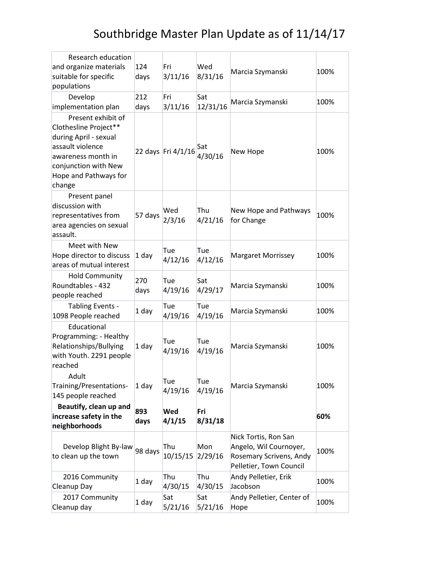| Research education<br>and organize materials<br>suitable for specific<br>populations                                                                                      | 124<br>days | Fri<br>3/11/16     | Wed<br>8/31/16  | Marcia Szymanski                                                                                     | 100% |
|---------------------------------------------------------------------------------------------------------------------------------------------------------------------------|-------------|--------------------|-----------------|------------------------------------------------------------------------------------------------------|------|
| Develop<br>implementation plan                                                                                                                                            | 212<br>days | Fri<br>3/11/16     | Sat<br>12/31/16 | Marcia Szymanski                                                                                     | 100% |
| Present exhibit of<br>Clothesline Project**<br>during April - sexual<br>assault violence<br>awareness month in<br>conjunction with New<br>Hope and Pathways for<br>change |             | 22 days Fri 4/1/16 | Sat<br>4/30/16  | New Hope                                                                                             | 100% |
| Present panel<br>discussion with<br>representatives from<br>area agencies on sexual<br>assault.                                                                           | 57 days     | Wed<br>2/3/16      | Thu<br>4/21/16  | New Hope and Pathways<br>for Change                                                                  | 100% |
| Meet with New<br>Hope director to discuss<br>areas of mutual interest                                                                                                     | 1 day       | Tue<br>4/12/16     | Tue<br>4/12/16  | <b>Margaret Morrissey</b>                                                                            | 100% |
| <b>Hold Community</b><br>Roundtables - 432<br>people reached                                                                                                              | 270<br>days | Tue<br>4/19/16     | Sat<br>4/29/17  | Marcia Szymanski                                                                                     | 100% |
| Tabling Events -<br>1098 People reached                                                                                                                                   | 1 day       | Tue<br>4/19/16     | Tue<br>4/19/16  | Marcia Szymanski                                                                                     | 100% |
| Educational<br>Programming: - Healthy<br>Relationships/Bullying<br>with Youth. 2291 people<br>reached                                                                     | $1$ day     | Tue<br>4/19/16     | Tue<br>4/19/16  | Marcia Szymanski                                                                                     | 100% |
| Adult<br>Training/Presentations-<br>145 people reached                                                                                                                    | 1 day       | Tue<br>4/19/16     | Tue<br>4/19/16  | Marcia Szymanski                                                                                     | 100% |
| Beautify, clean up and<br>increase safety in the<br>neighborhoods                                                                                                         | 893<br>days | Wed<br>4/1/15      | Fri<br>8/31/18  |                                                                                                      | 60%  |
| Develop Blight By-law<br>to clean up the town                                                                                                                             | 98 days     | Thu<br>10/15/15    | Mon<br>2/29/16  | Nick Tortis, Ron San<br>Angelo, Wil Cournoyer,<br>Rosemary Scrivens, Andy<br>Pelletier, Town Council | 100% |
| 2016 Community<br>Cleanup Day                                                                                                                                             | 1 day       | Thu<br>4/30/15     | Thu<br>4/30/15  | Andy Pelletier, Erik<br>Jacobson                                                                     | 100% |
| 2017 Community<br>Cleanup day                                                                                                                                             | 1 day       | Sat<br>5/21/16     | Sat<br>5/21/16  | Andy Pelletier, Center of<br>Hope                                                                    | 100% |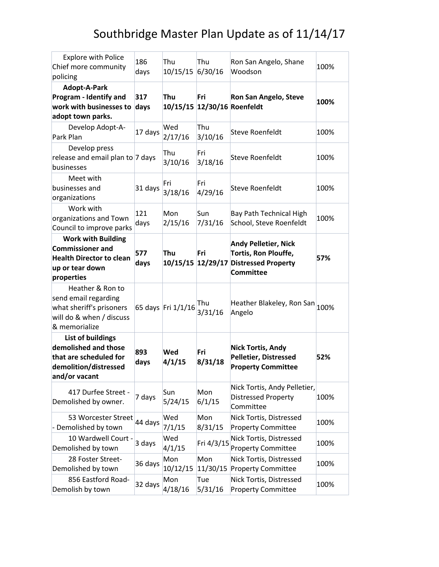| <b>Explore with Police</b><br>Chief more community<br>policing                                                           | 186<br>days | Thu<br>10/15/15 6/30/16 | Thu             | Ron San Angelo, Shane<br>Woodson                                                                                 | 100% |
|--------------------------------------------------------------------------------------------------------------------------|-------------|-------------------------|-----------------|------------------------------------------------------------------------------------------------------------------|------|
| Adopt-A-Park<br>Program - Identify and<br>work with businesses to<br>adopt town parks.                                   | 317<br>days | Thu                     | Fri             | <b>Ron San Angelo, Steve</b><br>10/15/15 12/30/16 Roenfeldt                                                      | 100% |
| Develop Adopt-A-<br>Park Plan                                                                                            | 17 days     | Wed<br>2/17/16          | Thu<br>3/10/16  | Steve Roenfeldt                                                                                                  | 100% |
| Develop press<br>release and email plan to 7 days<br>businesses                                                          |             | Thu<br>3/10/16          | Fri<br>3/18/16  | <b>Steve Roenfeldt</b>                                                                                           | 100% |
| Meet with<br>businesses and<br>organizations                                                                             | 31 days     | Fri<br>3/18/16          | Fri<br>4/29/16  | <b>Steve Roenfeldt</b>                                                                                           | 100% |
| Work with<br>organizations and Town<br>Council to improve parks                                                          | 121<br>days | Mon<br>2/15/16          | Sun<br>7/31/16  | Bay Path Technical High<br>School, Steve Roenfeldt                                                               | 100% |
| <b>Work with Building</b><br><b>Commissioner and</b><br><b>Health Director to clean</b><br>up or tear down<br>properties | 577<br>days | Thu                     | Fri             | <b>Andy Pelletier, Nick</b><br>Tortis, Ron Plouffe,<br>10/15/15 12/29/17 Distressed Property<br><b>Committee</b> | 57%  |
| Heather & Ron to<br>send email regarding<br>what sheriff's prisoners<br>will do & when / discuss<br>& memorialize        |             | 65 days Fri 1/1/16      | Thu<br>3/31/16  | Heather Blakeley, Ron San 100%<br>Angelo                                                                         |      |
| List of buildings<br>demolished and those<br>that are scheduled for<br>demolition/distressed<br>and/or vacant            | 893<br>days | <b>Wed</b><br>4/1/15    | Fri<br>8/31/18  | <b>Nick Tortis, Andy</b><br><b>Pelletier, Distressed</b><br><b>Property Committee</b>                            | 52%  |
| 417 Durfee Street -<br>Demolished by owner.                                                                              | 7 days      | Sun<br>5/24/15          | Mon<br>6/1/15   | Nick Tortis, Andy Pelletier,<br><b>Distressed Property</b><br>Committee                                          | 100% |
| 53 Worcester Street<br>Demolished by town                                                                                | 44 days     | Wed<br>7/1/15           | Mon<br>8/31/15  | Nick Tortis, Distressed<br><b>Property Committee</b>                                                             | 100% |
| 10 Wardwell Court -<br>Demolished by town                                                                                | 3 days      | Wed<br>4/1/15           | Fri 4/3/15      | Nick Tortis, Distressed<br><b>Property Committee</b>                                                             | 100% |
| 28 Foster Street-<br>Demolished by town                                                                                  | 36 days     | Mon<br>10/12/15         | Mon<br>11/30/15 | Nick Tortis, Distressed<br><b>Property Committee</b>                                                             | 100% |
| 856 Eastford Road-<br>Demolish by town                                                                                   | 32 days     | Mon<br>4/18/16          | Tue<br>5/31/16  | Nick Tortis, Distressed<br><b>Property Committee</b>                                                             | 100% |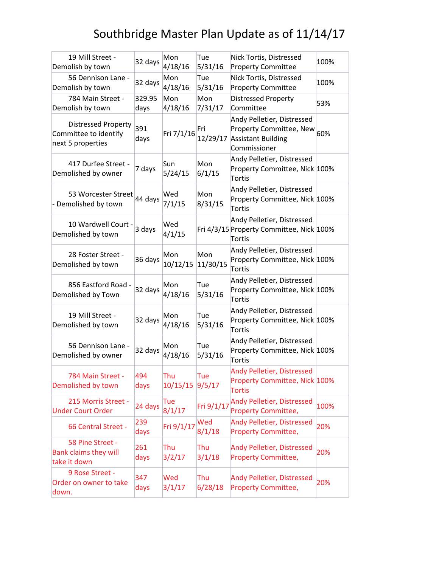| 19 Mill Street -<br>Demolish by town                                     | 32 days        | Mon<br>4/18/16  | Tue<br>5/31/16  | Nick Tortis, Distressed<br><b>Property Committee</b>                                               | 100% |
|--------------------------------------------------------------------------|----------------|-----------------|-----------------|----------------------------------------------------------------------------------------------------|------|
| 56 Dennison Lane -<br>Demolish by town                                   | 32 days        | Mon<br>4/18/16  | Tue<br>5/31/16  | Nick Tortis, Distressed<br><b>Property Committee</b>                                               | 100% |
| 784 Main Street -<br>Demolish by town                                    | 329.95<br>days | Mon<br>4/18/16  | Mon<br>7/31/17  | <b>Distressed Property</b><br>Committee                                                            | 53%  |
| <b>Distressed Property</b><br>Committee to identify<br>next 5 properties | 391<br>days    | Fri 7/1/16      | Fri<br>12/29/17 | Andy Pelletier, Distressed<br>Property Committee, New<br><b>Assistant Building</b><br>Commissioner | 60%  |
| 417 Durfee Street -<br>Demolished by owner                               | 7 days         | Sun<br>5/24/15  | Mon<br>6/1/15   | Andy Pelletier, Distressed<br>Property Committee, Nick 100%<br>Tortis                              |      |
| 53 Worcester Street<br>- Demolished by town                              | 44 days        | Wed<br>7/1/15   | Mon<br>8/31/15  | Andy Pelletier, Distressed<br>Property Committee, Nick 100%<br>Tortis                              |      |
| 10 Wardwell Court -<br>Demolished by town                                | 3 days         | Wed<br>4/1/15   |                 | Andy Pelletier, Distressed<br>Fri 4/3/15 Property Committee, Nick 100%<br><b>Tortis</b>            |      |
| 28 Foster Street -<br>Demolished by town                                 | 36 days        | Mon<br>10/12/15 | Mon<br>11/30/15 | Andy Pelletier, Distressed<br>Property Committee, Nick 100%<br>Tortis                              |      |
| 856 Eastford Road -<br>Demolished by Town                                | 32 days        | Mon<br>4/18/16  | Tue<br>5/31/16  | Andy Pelletier, Distressed<br>Property Committee, Nick 100%<br>Tortis                              |      |
| 19 Mill Street -<br>Demolished by town                                   | 32 days        | Mon<br>4/18/16  | Tue<br>5/31/16  | Andy Pelletier, Distressed<br>Property Committee, Nick 100%<br>Tortis                              |      |
| 56 Dennison Lane -<br>Demolished by owner                                | 32 days        | Mon<br>4/18/16  | Tue<br>5/31/16  | Andy Pelletier, Distressed<br>Property Committee, Nick 100%<br><b>Tortis</b>                       |      |
| 784 Main Street -<br>Demolished by town                                  | 494<br>days    | Thu<br>10/15/15 | Tue<br>9/5/17   | Andy Pelletier, Distressed<br>Property Committee, Nick 100%<br><b>Tortis</b>                       |      |
| 215 Morris Street -<br><b>Under Court Order</b>                          | 24 days        | Tue<br>8/1/17   | Fri 9/1/17      | Andy Pelletier, Distressed<br><b>Property Committee,</b>                                           | 100% |
| 66 Central Street -                                                      | 239<br>days    | Fri 9/1/17      | Wed<br>8/1/18   | Andy Pelletier, Distressed<br><b>Property Committee,</b>                                           | 20%  |
| 58 Pine Street -<br><b>Bank claims they will</b><br>take it down         | 261<br>days    | Thu<br>3/2/17   | Thu<br>3/1/18   | Andy Pelletier, Distressed<br><b>Property Committee,</b>                                           | 20%  |
| 9 Rose Street -<br>Order on owner to take<br>down.                       | 347<br>days    | Wed<br>3/1/17   | Thu<br>6/28/18  | Andy Pelletier, Distressed<br><b>Property Committee,</b>                                           | 20%  |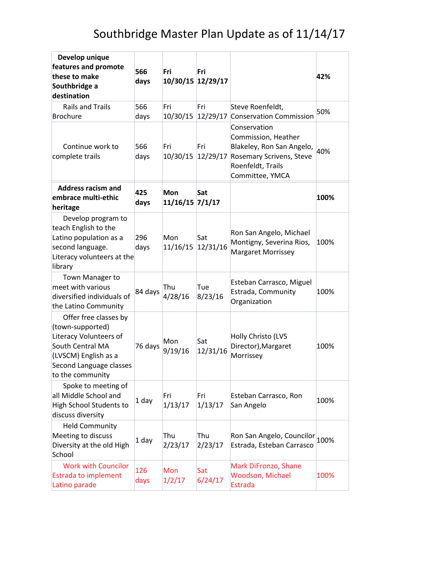| Develop unique<br>features and promote<br>these to make<br>Southbridge a<br>destination                                                                        | 566<br>days | Fri<br>10/30/15 12/29/17 | Fri             |                                                                                                                                                        | 42%  |
|----------------------------------------------------------------------------------------------------------------------------------------------------------------|-------------|--------------------------|-----------------|--------------------------------------------------------------------------------------------------------------------------------------------------------|------|
| <b>Rails and Trails</b><br>Brochure                                                                                                                            | 566<br>days | Fri<br>10/30/15          | Fri<br>12/29/17 | Steve Roenfeldt,<br><b>Conservation Commission</b>                                                                                                     | 50%  |
| Continue work to<br>complete trails                                                                                                                            | 566<br>days | Fri                      | Fri             | Conservation<br>Commission, Heather<br>Blakeley, Ron San Angelo,<br>10/30/15 12/29/17 Rosemary Scrivens, Steve<br>Roenfeldt, Trails<br>Committee, YMCA | 40%  |
| <b>Address racism and</b><br>embrace multi-ethic<br>heritage                                                                                                   | 425<br>days | Mon<br>11/16/15 7/1/17   | Sat             |                                                                                                                                                        | 100% |
| Develop program to<br>teach English to the<br>Latino population as a<br>second language.<br>Literacy volunteers at the<br>library                              | 296<br>days | Mon<br>11/16/15          | Sat<br>12/31/16 | Ron San Angelo, Michael<br>Montigny, Severina Rios,<br>Margaret Morrissey                                                                              | 100% |
| Town Manager to<br>meet with various<br>diversified individuals of<br>the Latino Community                                                                     | 84 days     | Thu<br>4/28/16           | Tue<br>8/23/16  | Esteban Carrasco, Miguel<br>Estrada, Community<br>Organization                                                                                         | 100% |
| Offer free classes by<br>(town-supported)<br>Literacy Volunteers of<br>South Central MA<br>(LVSCM) English as a<br>Second Language classes<br>to the community | 76 days     | Mon<br>9/19/16           | Sat<br>12/31/16 | Holly Christo (LVS<br>Director), Margaret<br>Morrissey                                                                                                 | 100% |
| Spoke to meeting of<br>all Middle School and<br>High School Students to<br>discuss diversity                                                                   | 1 day       | Fri<br>1/13/17           | Fri<br>1/13/17  | Esteban Carrasco, Ron<br>San Angelo                                                                                                                    | 100% |
| <b>Held Community</b><br>Meeting to discuss<br>Diversity at the old High<br>School                                                                             | 1 day       | Thu<br>2/23/17           | Thu<br>2/23/17  | Ron San Angelo, Councilor<br>Estrada, Esteban Carrasco                                                                                                 | 100% |
| <b>Work with Councilor</b><br><b>Estrada to implement</b><br>Latino parade                                                                                     | 126<br>days | Mon<br>1/2/17            | Sat<br>6/24/17  | Mark DiFronzo, Shane<br>Woodson, Michael<br><b>Estrada</b>                                                                                             | 100% |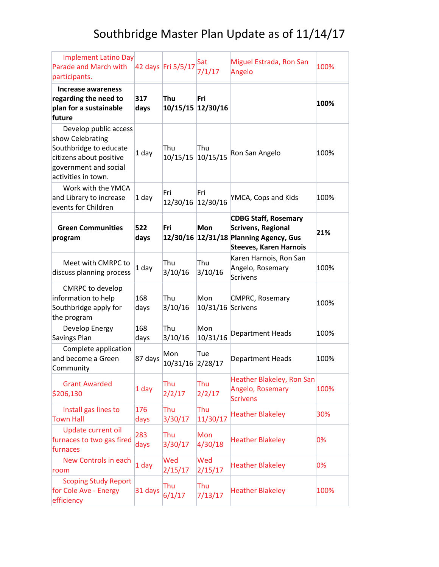| <b>Implement Latino Day</b><br>Parade and March with<br>participants.                                                                          |             | 42 days Fri 5/5/17       | Sat<br>7/1/17            | Miguel Estrada, Ron San<br>Angelo                                                                                                   | 100% |
|------------------------------------------------------------------------------------------------------------------------------------------------|-------------|--------------------------|--------------------------|-------------------------------------------------------------------------------------------------------------------------------------|------|
| Increase awareness<br>regarding the need to<br>plan for a sustainable<br>future                                                                | 317<br>days | Thu<br>10/15/15 12/30/16 | Fri                      |                                                                                                                                     | 100% |
| Develop public access<br>show Celebrating<br>Southbridge to educate<br>citizens about positive<br>government and social<br>activities in town. | 1 day       | Thu<br>10/15/15 10/15/15 | Thu                      | Ron San Angelo                                                                                                                      | 100% |
| Work with the YMCA<br>and Library to increase<br>events for Children                                                                           | 1 day       | Fri<br>12/30/16 12/30/16 | Fri                      | YMCA, Cops and Kids                                                                                                                 | 100% |
| <b>Green Communities</b><br>program                                                                                                            | 522<br>days | Fri                      | <b>Mon</b>               | <b>CDBG Staff, Rosemary</b><br><b>Scrivens, Regional</b><br>12/30/16 12/31/18 Planning Agency, Gus<br><b>Steeves, Karen Harnois</b> | 21%  |
| Meet with CMRPC to<br>discuss planning process                                                                                                 | 1 day       | Thu<br>3/10/16           | Thu<br>3/10/16           | Karen Harnois, Ron San<br>Angelo, Rosemary<br>Scrivens                                                                              | 100% |
| <b>CMRPC to develop</b><br>information to help<br>Southbridge apply for<br>the program                                                         | 168<br>days | Thu<br>3/10/16           | Mon<br>10/31/16 Scrivens | <b>CMPRC, Rosemary</b>                                                                                                              | 100% |
| Develop Energy<br>Savings Plan                                                                                                                 | 168<br>days | Thu<br>3/10/16           | Mon<br>10/31/16          | <b>Department Heads</b>                                                                                                             | 100% |
| Complete application<br>and become a Green<br>Community                                                                                        | 87 days     | Mon<br>10/31/16 2/28/17  | Tue                      | <b>Department Heads</b>                                                                                                             | 100% |
| <b>Grant Awarded</b><br>\$206,130                                                                                                              | 1 day       | Thu<br>2/2/17            | Thu<br>2/2/17            | Heather Blakeley, Ron San<br>Angelo, Rosemary<br><b>Scrivens</b>                                                                    | 100% |
| Install gas lines to<br><b>Town Hall</b>                                                                                                       | 176<br>days | Thu<br>3/30/17           | Thu<br>11/30/17          | <b>Heather Blakeley</b>                                                                                                             | 30%  |
| Update current oil<br>furnaces to two gas fired<br>furnaces                                                                                    | 283<br>days | Thu<br>3/30/17           | Mon<br>4/30/18           | <b>Heather Blakeley</b>                                                                                                             | 0%   |
| New Controls in each<br>room                                                                                                                   | 1 day       | Wed<br>2/15/17           | Wed<br>2/15/17           | <b>Heather Blakeley</b>                                                                                                             | 0%   |
| <b>Scoping Study Report</b><br>for Cole Ave - Energy<br>efficiency                                                                             | 31 days     | Thu<br>6/1/17            | Thu<br>7/13/17           | <b>Heather Blakeley</b>                                                                                                             | 100% |